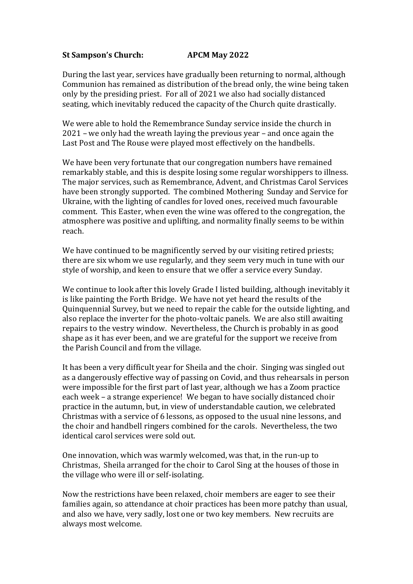## **St Sampson's Church: APCM May 2022**

During the last year, services have gradually been returning to normal, although Communion has remained as distribution of the bread only, the wine being taken only by the presiding priest. For all of 2021 we also had socially distanced seating, which inevitably reduced the capacity of the Church quite drastically.

We were able to hold the Remembrance Sunday service inside the church in 2021 – we only had the wreath laying the previous year – and once again the Last Post and The Rouse were played most effectively on the handbells.

We have been very fortunate that our congregation numbers have remained remarkably stable, and this is despite losing some regular worshippers to illness. The major services, such as Remembrance, Advent, and Christmas Carol Services have been strongly supported. The combined Mothering Sunday and Service for Ukraine, with the lighting of candles for loved ones, received much favourable comment. This Easter, when even the wine was offered to the congregation, the atmosphere was positive and uplifting, and normality finally seems to be within reach.

We have continued to be magnificently served by our visiting retired priests; there are six whom we use regularly, and they seem very much in tune with our style of worship, and keen to ensure that we offer a service every Sunday.

We continue to look after this lovely Grade I listed building, although inevitably it is like painting the Forth Bridge. We have not yet heard the results of the Quinquennial Survey, but we need to repair the cable for the outside lighting, and also replace the inverter for the photo-voltaic panels. We are also still awaiting repairs to the vestry window. Nevertheless, the Church is probably in as good shape as it has ever been, and we are grateful for the support we receive from the Parish Council and from the village.

It has been a very difficult year for Sheila and the choir. Singing was singled out as a dangerously effective way of passing on Covid, and thus rehearsals in person were impossible for the first part of last year, although we has a Zoom practice each week – a strange experience! We began to have socially distanced choir practice in the autumn, but, in view of understandable caution, we celebrated Christmas with a service of 6 lessons, as opposed to the usual nine lessons, and the choir and handbell ringers combined for the carols. Nevertheless, the two identical carol services were sold out.

One innovation, which was warmly welcomed, was that, in the run-up to Christmas, Sheila arranged for the choir to Carol Sing at the houses of those in the village who were ill or self-isolating.

Now the restrictions have been relaxed, choir members are eager to see their families again, so attendance at choir practices has been more patchy than usual, and also we have, very sadly, lost one or two key members. New recruits are always most welcome.